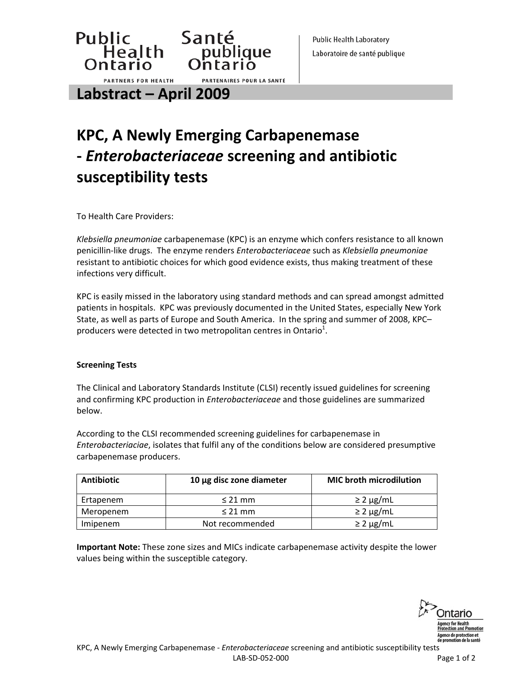**Public Health Laboratory** Laboratoire de santé publique

**Labstract – April 2009**

**PARTNERS FOR HEALTH** 

Public Santé<br>Health publique<br>Ontario Ontario

# **KPC, A Newly Emerging Carbapenemase ‐** *Enterobacteriaceae* **screening and antibiotic susceptibility tests**

PARTENAIRES POUR LA SANTÉ

To Health Care Providers:

*Klebsiella pneumoniae* carbapenemase (KPC) is an enzyme which confers resistance to all known penicillin‐like drugs. The enzyme renders *Enterobacteriaceae* such as *Klebsiella pneumoniae* resistant to antibiotic choices for which good evidence exists, thus making treatment of these infections very difficult.

KPC is easily missed in the laboratory using standard methods and can spread amongst admitted patients in hospitals. KPC was previously documented in the United States, especially New York State, as well as parts of Europe and South America. In the spring and summer of 2008, KPC– producers were detected in two metropolitan centres in Ontario<sup>1</sup>.

#### **Screening Tests**

The Clinical and Laboratory Standards Institute (CLSI) recently issued guidelines for screening and confirming KPC production in *Enterobacteriaceae* and those guidelines are summarized below.

According to the CLSI recommended screening guidelines for carbapenemase in *Enterobacteriaciae*, isolates that fulfil any of the conditions below are considered presumptive carbapenemase producers.

| <b>Antibiotic</b> | 10 $\mu$ g disc zone diameter | <b>MIC broth microdilution</b> |
|-------------------|-------------------------------|--------------------------------|
| Ertapenem         | $<$ 21 mm                     | $\geq$ 2 µg/mL                 |
| Meropenem         | $\leq$ 21 mm                  | $\geq$ 2 µg/mL                 |
| Imipenem          | Not recommended               | $\geq$ 2 µg/mL                 |

**Important Note:** These zone sizes and MICs indicate carbapenemase activity despite the lower values being within the susceptible category.